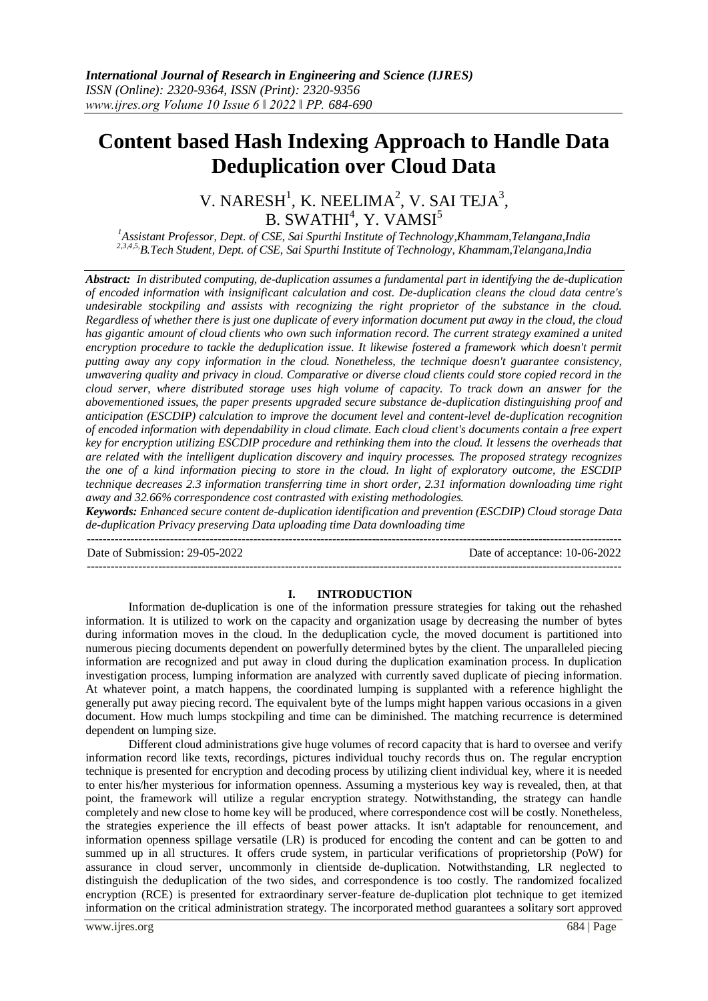# **Content based Hash Indexing Approach to Handle Data Deduplication over Cloud Data**

V. NARESH $^1$ , K. NEELIMA $^2$ , V. SAI TEJA $^3$ ,  $B.$  SWATHI $4$ , Y. VAMSI $5$ 

*<sup>1</sup>Assistant Professor, Dept. of CSE, Sai Spurthi Institute of Technology,Khammam,Telangana,India 2,3,4,5,B.Tech Student, Dept. of CSE, Sai Spurthi Institute of Technology, Khammam,Telangana,India*

*Abstract: In distributed computing, de-duplication assumes a fundamental part in identifying the de-duplication of encoded information with insignificant calculation and cost. De-duplication cleans the cloud data centre's undesirable stockpiling and assists with recognizing the right proprietor of the substance in the cloud. Regardless of whether there is just one duplicate of every information document put away in the cloud, the cloud has gigantic amount of cloud clients who own such information record. The current strategy examined a united* encryption procedure to tackle the deduplication issue. It likewise fostered a framework which doesn't permit *putting away any copy information in the cloud. Nonetheless, the technique doesn't guarantee consistency, unwavering quality and privacy in cloud. Comparative or diverse cloud clients could store copied record in the cloud server, where distributed storage uses high volume of capacity. To track down an answer for the abovementioned issues, the paper presents upgraded secure substance de-duplication distinguishing proof and anticipation (ESCDIP) calculation to improve the document level and content-level de-duplication recognition of encoded information with dependability in cloud climate. Each cloud client's documents contain a free expert key for encryption utilizing ESCDIP procedure and rethinking them into the cloud. It lessens the overheads that are related with the intelligent duplication discovery and inquiry processes. The proposed strategy recognizes the one of a kind information piecing to store in the cloud. In light of exploratory outcome, the ESCDIP technique decreases 2.3 information transferring time in short order, 2.31 information downloading time right away and 32.66% correspondence cost contrasted with existing methodologies.*

*Keywords: Enhanced secure content de-duplication identification and prevention (ESCDIP) Cloud storage Data de-duplication Privacy preserving Data uploading time Data downloading time*

Date of Submission: 29-05-2022 Date of acceptance: 10-06-2022

---------------------------------------------------------------------------------------------------------------------------------------

#### **I. INTRODUCTION**

---------------------------------------------------------------------------------------------------------------------------------------

Information de-duplication is one of the information pressure strategies for taking out the rehashed information. It is utilized to work on the capacity and organization usage by decreasing the number of bytes during information moves in the cloud. In the deduplication cycle, the moved document is partitioned into numerous piecing documents dependent on powerfully determined bytes by the client. The unparalleled piecing information are recognized and put away in cloud during the duplication examination process. In duplication investigation process, lumping information are analyzed with currently saved duplicate of piecing information. At whatever point, a match happens, the coordinated lumping is supplanted with a reference highlight the generally put away piecing record. The equivalent byte of the lumps might happen various occasions in a given document. How much lumps stockpiling and time can be diminished. The matching recurrence is determined dependent on lumping size.

Different cloud administrations give huge volumes of record capacity that is hard to oversee and verify information record like texts, recordings, pictures individual touchy records thus on. The regular encryption technique is presented for encryption and decoding process by utilizing client individual key, where it is needed to enter his/her mysterious for information openness. Assuming a mysterious key way is revealed, then, at that point, the framework will utilize a regular encryption strategy. Notwithstanding, the strategy can handle completely and new close to home key will be produced, where correspondence cost will be costly. Nonetheless, the strategies experience the ill effects of beast power attacks. It isn't adaptable for renouncement, and information openness spillage versatile (LR) is produced for encoding the content and can be gotten to and summed up in all structures. It offers crude system, in particular verifications of proprietorship (PoW) for assurance in cloud server, uncommonly in clientside de-duplication. Notwithstanding, LR neglected to distinguish the deduplication of the two sides, and correspondence is too costly. The randomized focalized encryption (RCE) is presented for extraordinary server-feature de-duplication plot technique to get itemized information on the critical administration strategy. The incorporated method guarantees a solitary sort approved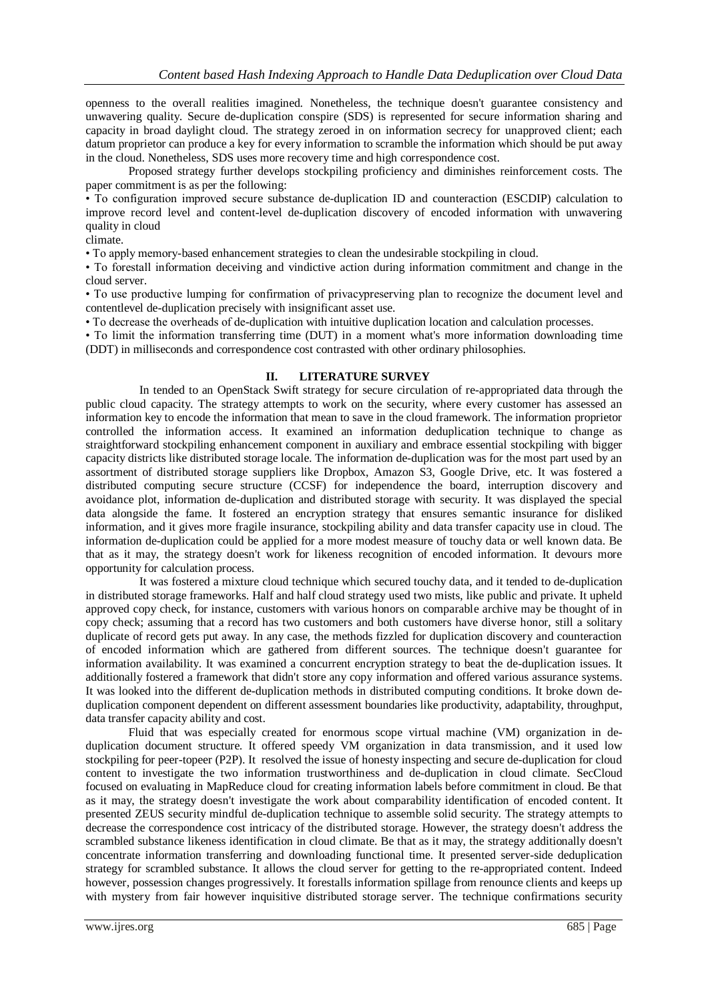openness to the overall realities imagined. Nonetheless, the technique doesn't guarantee consistency and unwavering quality. Secure de-duplication conspire (SDS) is represented for secure information sharing and capacity in broad daylight cloud. The strategy zeroed in on information secrecy for unapproved client; each datum proprietor can produce a key for every information to scramble the information which should be put away in the cloud. Nonetheless, SDS uses more recovery time and high correspondence cost.

Proposed strategy further develops stockpiling proficiency and diminishes reinforcement costs. The paper commitment is as per the following:

• To configuration improved secure substance de-duplication ID and counteraction (ESCDIP) calculation to improve record level and content-level de-duplication discovery of encoded information with unwavering quality in cloud

climate.

• To apply memory-based enhancement strategies to clean the undesirable stockpiling in cloud.

• To forestall information deceiving and vindictive action during information commitment and change in the cloud server.

• To use productive lumping for confirmation of privacypreserving plan to recognize the document level and contentlevel de-duplication precisely with insignificant asset use.

• To decrease the overheads of de-duplication with intuitive duplication location and calculation processes.

• To limit the information transferring time (DUT) in a moment what's more information downloading time (DDT) in milliseconds and correspondence cost contrasted with other ordinary philosophies.

# **II. LITERATURE SURVEY**

In tended to an OpenStack Swift strategy for secure circulation of re-appropriated data through the public cloud capacity. The strategy attempts to work on the security, where every customer has assessed an information key to encode the information that mean to save in the cloud framework. The information proprietor controlled the information access. It examined an information deduplication technique to change as straightforward stockpiling enhancement component in auxiliary and embrace essential stockpiling with bigger capacity districts like distributed storage locale. The information de-duplication was for the most part used by an assortment of distributed storage suppliers like Dropbox, Amazon S3, Google Drive, etc. It was fostered a distributed computing secure structure (CCSF) for independence the board, interruption discovery and avoidance plot, information de-duplication and distributed storage with security. It was displayed the special data alongside the fame. It fostered an encryption strategy that ensures semantic insurance for disliked information, and it gives more fragile insurance, stockpiling ability and data transfer capacity use in cloud. The information de-duplication could be applied for a more modest measure of touchy data or well known data. Be that as it may, the strategy doesn't work for likeness recognition of encoded information. It devours more opportunity for calculation process.

It was fostered a mixture cloud technique which secured touchy data, and it tended to de-duplication in distributed storage frameworks. Half and half cloud strategy used two mists, like public and private. It upheld approved copy check, for instance, customers with various honors on comparable archive may be thought of in copy check; assuming that a record has two customers and both customers have diverse honor, still a solitary duplicate of record gets put away. In any case, the methods fizzled for duplication discovery and counteraction of encoded information which are gathered from different sources. The technique doesn't guarantee for information availability. It was examined a concurrent encryption strategy to beat the de-duplication issues. It additionally fostered a framework that didn't store any copy information and offered various assurance systems. It was looked into the different de-duplication methods in distributed computing conditions. It broke down deduplication component dependent on different assessment boundaries like productivity, adaptability, throughput, data transfer capacity ability and cost.

Fluid that was especially created for enormous scope virtual machine (VM) organization in deduplication document structure. It offered speedy VM organization in data transmission, and it used low stockpiling for peer-topeer (P2P). It resolved the issue of honesty inspecting and secure de-duplication for cloud content to investigate the two information trustworthiness and de-duplication in cloud climate. SecCloud focused on evaluating in MapReduce cloud for creating information labels before commitment in cloud. Be that as it may, the strategy doesn't investigate the work about comparability identification of encoded content. It presented ZEUS security mindful de-duplication technique to assemble solid security. The strategy attempts to decrease the correspondence cost intricacy of the distributed storage. However, the strategy doesn't address the scrambled substance likeness identification in cloud climate. Be that as it may, the strategy additionally doesn't concentrate information transferring and downloading functional time. It presented server-side deduplication strategy for scrambled substance. It allows the cloud server for getting to the re-appropriated content. Indeed however, possession changes progressively. It forestalls information spillage from renounce clients and keeps up with mystery from fair however inquisitive distributed storage server. The technique confirmations security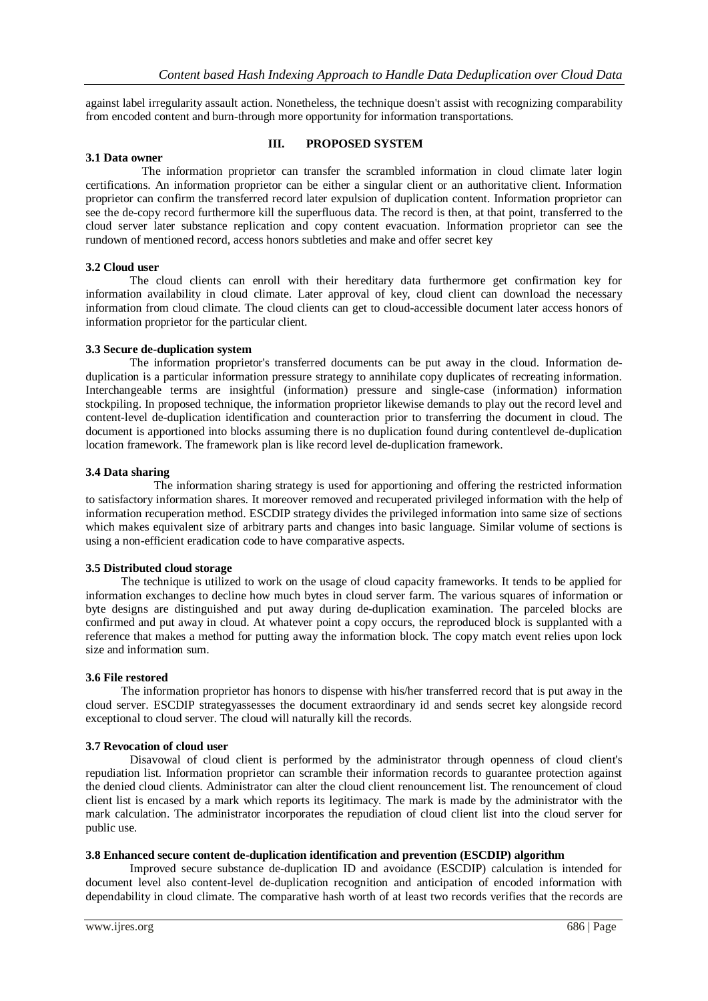against label irregularity assault action. Nonetheless, the technique doesn't assist with recognizing comparability from encoded content and burn-through more opportunity for information transportations.

# **3.1 Data owner**

# **III. PROPOSED SYSTEM**

 The information proprietor can transfer the scrambled information in cloud climate later login certifications. An information proprietor can be either a singular client or an authoritative client. Information proprietor can confirm the transferred record later expulsion of duplication content. Information proprietor can see the de-copy record furthermore kill the superfluous data. The record is then, at that point, transferred to the cloud server later substance replication and copy content evacuation. Information proprietor can see the rundown of mentioned record, access honors subtleties and make and offer secret key

# **3.2 Cloud user**

 The cloud clients can enroll with their hereditary data furthermore get confirmation key for information availability in cloud climate. Later approval of key, cloud client can download the necessary information from cloud climate. The cloud clients can get to cloud-accessible document later access honors of information proprietor for the particular client.

# **3.3 Secure de-duplication system**

 The information proprietor's transferred documents can be put away in the cloud. Information deduplication is a particular information pressure strategy to annihilate copy duplicates of recreating information. Interchangeable terms are insightful (information) pressure and single-case (information) information stockpiling. In proposed technique, the information proprietor likewise demands to play out the record level and content-level de-duplication identification and counteraction prior to transferring the document in cloud. The document is apportioned into blocks assuming there is no duplication found during contentlevel de-duplication location framework. The framework plan is like record level de-duplication framework.

# **3.4 Data sharing**

 The information sharing strategy is used for apportioning and offering the restricted information to satisfactory information shares. It moreover removed and recuperated privileged information with the help of information recuperation method. ESCDIP strategy divides the privileged information into same size of sections which makes equivalent size of arbitrary parts and changes into basic language. Similar volume of sections is using a non-efficient eradication code to have comparative aspects.

# **3.5 Distributed cloud storage**

 The technique is utilized to work on the usage of cloud capacity frameworks. It tends to be applied for information exchanges to decline how much bytes in cloud server farm. The various squares of information or byte designs are distinguished and put away during de-duplication examination. The parceled blocks are confirmed and put away in cloud. At whatever point a copy occurs, the reproduced block is supplanted with a reference that makes a method for putting away the information block. The copy match event relies upon lock size and information sum.

# **3.6 File restored**

 The information proprietor has honors to dispense with his/her transferred record that is put away in the cloud server. ESCDIP strategyassesses the document extraordinary id and sends secret key alongside record exceptional to cloud server. The cloud will naturally kill the records.

# **3.7 Revocation of cloud user**

 Disavowal of cloud client is performed by the administrator through openness of cloud client's repudiation list. Information proprietor can scramble their information records to guarantee protection against the denied cloud clients. Administrator can alter the cloud client renouncement list. The renouncement of cloud client list is encased by a mark which reports its legitimacy. The mark is made by the administrator with the mark calculation. The administrator incorporates the repudiation of cloud client list into the cloud server for public use.

# **3.8 Enhanced secure content de-duplication identification and prevention (ESCDIP) algorithm**

 Improved secure substance de-duplication ID and avoidance (ESCDIP) calculation is intended for document level also content-level de-duplication recognition and anticipation of encoded information with dependability in cloud climate. The comparative hash worth of at least two records verifies that the records are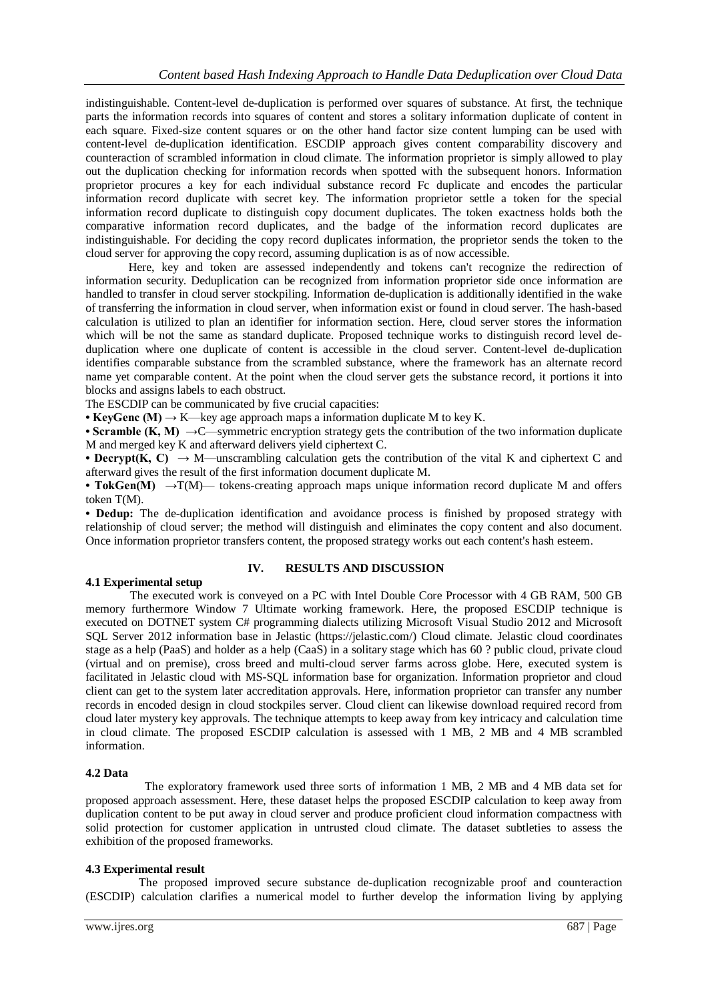indistinguishable. Content-level de-duplication is performed over squares of substance. At first, the technique parts the information records into squares of content and stores a solitary information duplicate of content in each square. Fixed-size content squares or on the other hand factor size content lumping can be used with content-level de-duplication identification. ESCDIP approach gives content comparability discovery and counteraction of scrambled information in cloud climate. The information proprietor is simply allowed to play out the duplication checking for information records when spotted with the subsequent honors. Information proprietor procures a key for each individual substance record Fc duplicate and encodes the particular information record duplicate with secret key. The information proprietor settle a token for the special information record duplicate to distinguish copy document duplicates. The token exactness holds both the comparative information record duplicates, and the badge of the information record duplicates are indistinguishable. For deciding the copy record duplicates information, the proprietor sends the token to the cloud server for approving the copy record, assuming duplication is as of now accessible.

Here, key and token are assessed independently and tokens can't recognize the redirection of information security. Deduplication can be recognized from information proprietor side once information are handled to transfer in cloud server stockpiling. Information de-duplication is additionally identified in the wake of transferring the information in cloud server, when information exist or found in cloud server. The hash-based calculation is utilized to plan an identifier for information section. Here, cloud server stores the information which will be not the same as standard duplicate. Proposed technique works to distinguish record level deduplication where one duplicate of content is accessible in the cloud server. Content-level de-duplication identifies comparable substance from the scrambled substance, where the framework has an alternate record name yet comparable content. At the point when the cloud server gets the substance record, it portions it into blocks and assigns labels to each obstruct.

The ESCDIP can be communicated by five crucial capacities:

**• KeyGenc (M) →** K—key age approach maps a information duplicate M to key K.

• **Scramble**  $(K, M) \rightarrow C$ **—symmetric encryption strategy gets the contribution of the two information duplicate** M and merged key K and afterward delivers yield ciphertext C.

**• Decrypt(K, C) →** M—unscrambling calculation gets the contribution of the vital K and ciphertext C and afterward gives the result of the first information document duplicate M.

• TokGen(M) →T(M)— tokens-creating approach maps unique information record duplicate M and offers token T(M).

**• Dedup:** The de-duplication identification and avoidance process is finished by proposed strategy with relationship of cloud server; the method will distinguish and eliminates the copy content and also document. Once information proprietor transfers content, the proposed strategy works out each content's hash esteem.

# **4.1 Experimental setup**

# **IV. RESULTS AND DISCUSSION**

 The executed work is conveyed on a PC with Intel Double Core Processor with 4 GB RAM, 500 GB memory furthermore Window 7 Ultimate working framework. Here, the proposed ESCDIP technique is executed on DOTNET system C# programming dialects utilizing Microsoft Visual Studio 2012 and Microsoft SQL Server 2012 information base in Jelastic (https://jelastic.com/) Cloud climate. Jelastic cloud coordinates stage as a help (PaaS) and holder as a help (CaaS) in a solitary stage which has 60 ? public cloud, private cloud (virtual and on premise), cross breed and multi-cloud server farms across globe. Here, executed system is facilitated in Jelastic cloud with MS-SQL information base for organization. Information proprietor and cloud client can get to the system later accreditation approvals. Here, information proprietor can transfer any number records in encoded design in cloud stockpiles server. Cloud client can likewise download required record from cloud later mystery key approvals. The technique attempts to keep away from key intricacy and calculation time in cloud climate. The proposed ESCDIP calculation is assessed with 1 MB, 2 MB and 4 MB scrambled information.

# **4.2 Data**

 The exploratory framework used three sorts of information 1 MB, 2 MB and 4 MB data set for proposed approach assessment. Here, these dataset helps the proposed ESCDIP calculation to keep away from duplication content to be put away in cloud server and produce proficient cloud information compactness with solid protection for customer application in untrusted cloud climate. The dataset subtleties to assess the exhibition of the proposed frameworks.

# **4.3 Experimental result**

 The proposed improved secure substance de-duplication recognizable proof and counteraction (ESCDIP) calculation clarifies a numerical model to further develop the information living by applying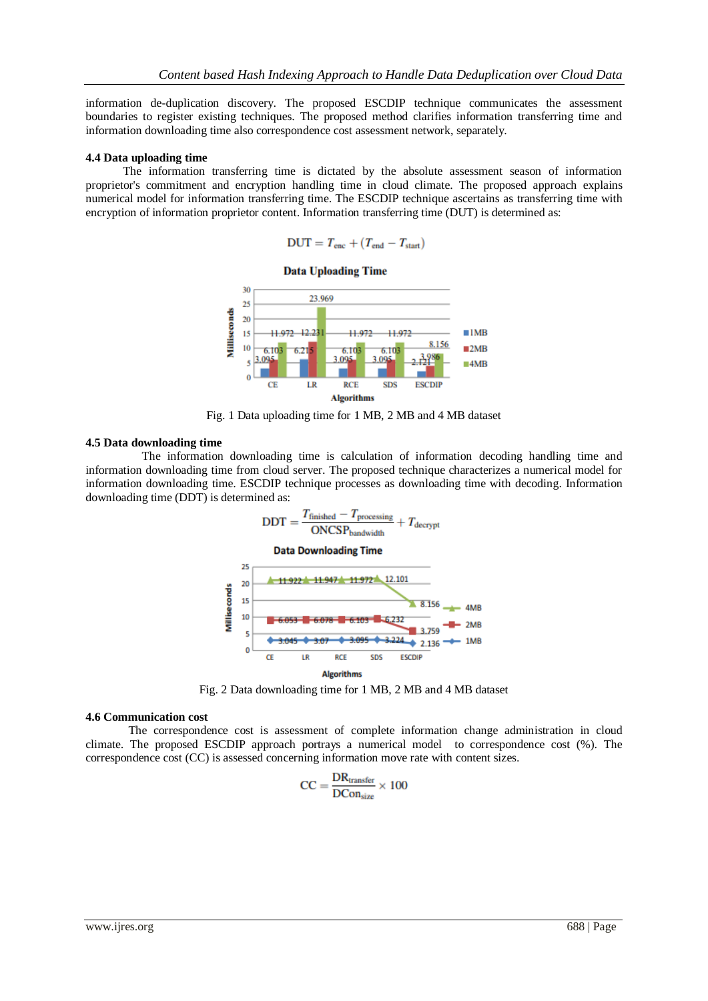information de-duplication discovery. The proposed ESCDIP technique communicates the assessment boundaries to register existing techniques. The proposed method clarifies information transferring time and information downloading time also correspondence cost assessment network, separately.

#### **4.4 Data uploading time**

The information transferring time is dictated by the absolute assessment season of information proprietor's commitment and encryption handling time in cloud climate. The proposed approach explains numerical model for information transferring time. The ESCDIP technique ascertains as transferring time with encryption of information proprietor content. Information transferring time (DUT) is determined as:

$$
DUT = T_{enc} + (T_{end} - T_{start})
$$



Fig. 1 Data uploading time for 1 MB, 2 MB and 4 MB dataset

#### **4.5 Data downloading time**

 The information downloading time is calculation of information decoding handling time and information downloading time from cloud server. The proposed technique characterizes a numerical model for information downloading time. ESCDIP technique processes as downloading time with decoding. Information downloading time (DDT) is determined as:



Fig. 2 Data downloading time for 1 MB, 2 MB and 4 MB dataset

#### **4.6 Communication cost**

The correspondence cost is assessment of complete information change administration in cloud climate. The proposed ESCDIP approach portrays a numerical model to correspondence cost (%). The correspondence cost (CC) is assessed concerning information move rate with content sizes.

$$
CC = \frac{DR_{transfer}}{DCon_{size}} \times 100
$$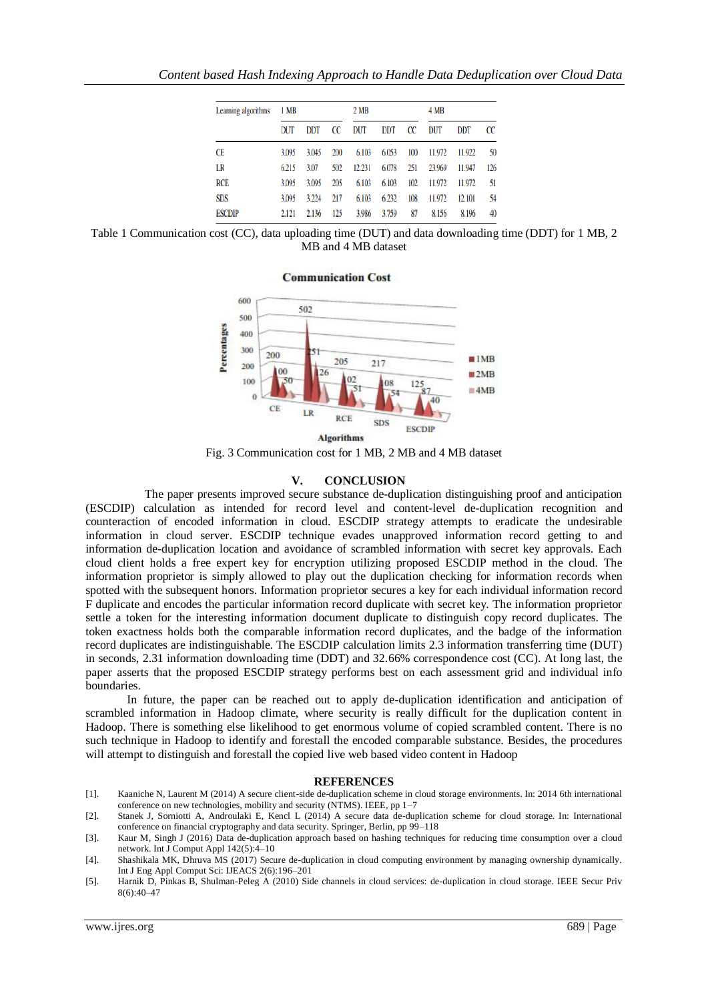| Learning algorithms | 1 MB  |            |     | 2 <sub>MB</sub> |            |     | 4 MB   |            |     |
|---------------------|-------|------------|-----|-----------------|------------|-----|--------|------------|-----|
|                     | DUT   | <b>DDT</b> | CC  | DUT             | <b>DDT</b> | CC  | DUT    | <b>DDT</b> | CC  |
| CE                  | 3.095 | 3.045      | 200 | 6.103           | 6.053      | 100 | 11.972 | 11.922     | 50  |
| LR                  | 6.215 | 3.07       | 502 | 12.231          | 6.078      | 251 | 23.969 | 11.947     | 126 |
| <b>RCE</b>          | 3.095 | 3.095      | 205 | 6.103           | 6.103      | 102 | 11.972 | 11.972     | 51  |
| <b>SDS</b>          | 3.095 | 3.224      | 217 | 6.103           | 6.232      | 108 | 11.972 | 12.101     | 54  |
| <b>ESCDIP</b>       | 2.121 | 2.136      | 125 | 3.986           | 3.759      | 87  | 8.156  | 8.196      | 40  |

Table 1 Communication cost (CC), data uploading time (DUT) and data downloading time (DDT) for 1 MB, 2 MB and 4 MB dataset



Fig. 3 Communication cost for 1 MB, 2 MB and 4 MB dataset

# **V. CONCLUSION**

 The paper presents improved secure substance de-duplication distinguishing proof and anticipation (ESCDIP) calculation as intended for record level and content-level de-duplication recognition and counteraction of encoded information in cloud. ESCDIP strategy attempts to eradicate the undesirable information in cloud server. ESCDIP technique evades unapproved information record getting to and information de-duplication location and avoidance of scrambled information with secret key approvals. Each cloud client holds a free expert key for encryption utilizing proposed ESCDIP method in the cloud. The information proprietor is simply allowed to play out the duplication checking for information records when spotted with the subsequent honors. Information proprietor secures a key for each individual information record F duplicate and encodes the particular information record duplicate with secret key. The information proprietor settle a token for the interesting information document duplicate to distinguish copy record duplicates. The token exactness holds both the comparable information record duplicates, and the badge of the information record duplicates are indistinguishable. The ESCDIP calculation limits 2.3 information transferring time (DUT) in seconds, 2.31 information downloading time (DDT) and 32.66% correspondence cost (CC). At long last, the paper asserts that the proposed ESCDIP strategy performs best on each assessment grid and individual info boundaries.

 In future, the paper can be reached out to apply de-duplication identification and anticipation of scrambled information in Hadoop climate, where security is really difficult for the duplication content in Hadoop. There is something else likelihood to get enormous volume of copied scrambled content. There is no such technique in Hadoop to identify and forestall the encoded comparable substance. Besides, the procedures will attempt to distinguish and forestall the copied live web based video content in Hadoop

#### **REFERENCES**

- [1]. Kaaniche N, Laurent M (2014) A secure client-side de-duplication scheme in cloud storage environments. In: 2014 6th international conference on new technologies, mobility and security (NTMS). IEEE, pp  $1-7$
- [2]. Stanek J, Sorniotti A, Androulaki E, Kencl L (2014) A secure data de-duplication scheme for cloud storage. In: International conference on financial cryptography and data security. Springer, Berlin, pp 99–118
- [3]. Kaur M, Singh J (2016) Data de-duplication approach based on hashing techniques for reducing time consumption over a cloud network. Int J Comput Appl 142(5):4–10
- [4]. Shashikala MK, Dhruva MS (2017) Secure de-duplication in cloud computing environment by managing ownership dynamically. Int J Eng Appl Comput Sci: IJEACS 2(6):196–201
- [5]. Harnik D, Pinkas B, Shulman-Peleg A (2010) Side channels in cloud services: de-duplication in cloud storage. IEEE Secur Priv 8(6):40–47